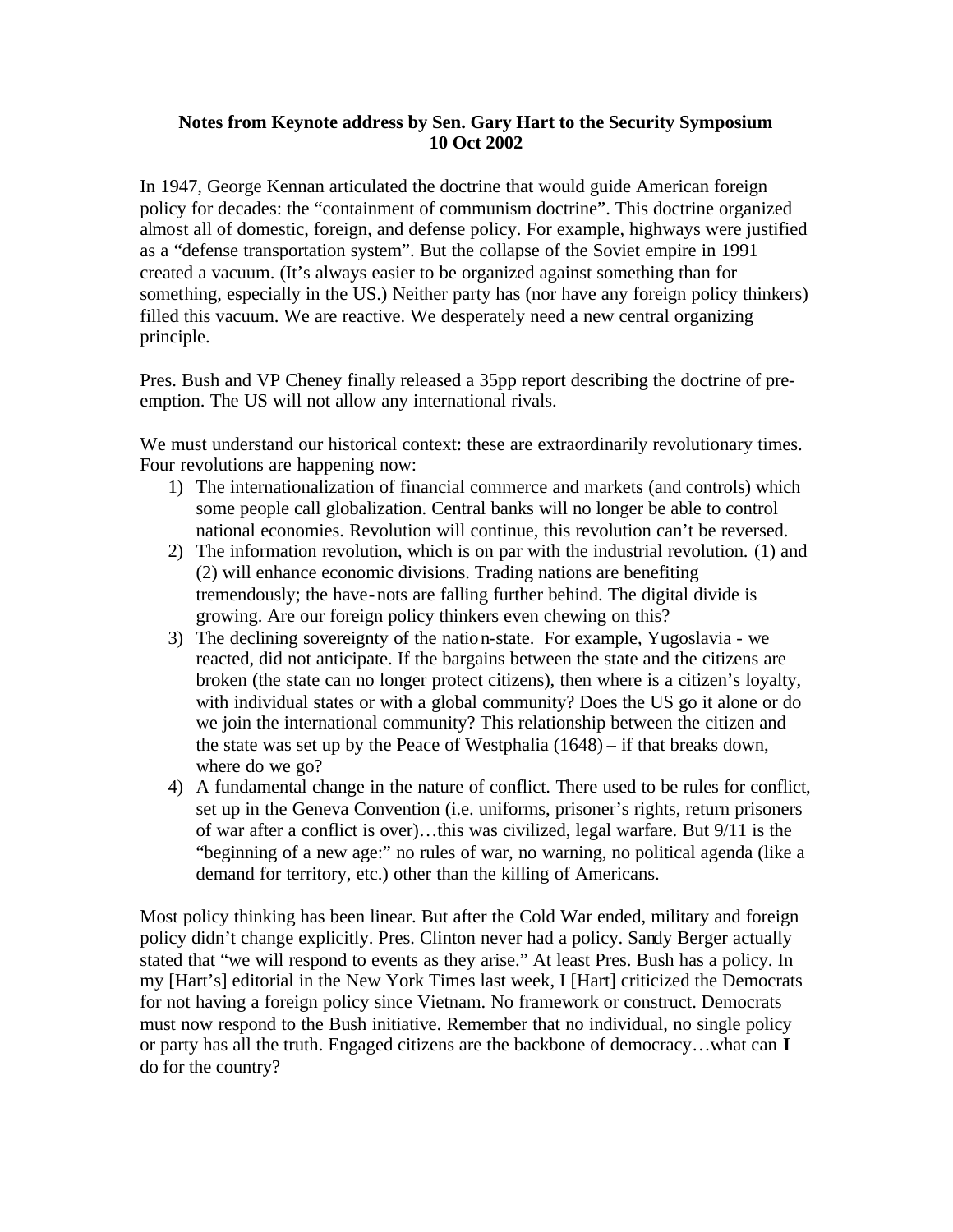## **Notes from Keynote address by Sen. Gary Hart to the Security Symposium 10 Oct 2002**

In 1947, George Kennan articulated the doctrine that would guide American foreign policy for decades: the "containment of communism doctrine". This doctrine organized almost all of domestic, foreign, and defense policy. For example, highways were justified as a "defense transportation system". But the collapse of the Soviet empire in 1991 created a vacuum. (It's always easier to be organized against something than for something, especially in the US.) Neither party has (nor have any foreign policy thinkers) filled this vacuum. We are reactive. We desperately need a new central organizing principle.

Pres. Bush and VP Cheney finally released a 35pp report describing the doctrine of preemption. The US will not allow any international rivals.

We must understand our historical context: these are extraordinarily revolutionary times. Four revolutions are happening now:

- 1) The internationalization of financial commerce and markets (and controls) which some people call globalization. Central banks will no longer be able to control national economies. Revolution will continue, this revolution can't be reversed.
- 2) The information revolution, which is on par with the industrial revolution. (1) and (2) will enhance economic divisions. Trading nations are benefiting tremendously; the have-nots are falling further behind. The digital divide is growing. Are our foreign policy thinkers even chewing on this?
- 3) The declining sovereignty of the nation-state. For example, Yugoslavia we reacted, did not anticipate. If the bargains between the state and the citizens are broken (the state can no longer protect citizens), then where is a citizen's loyalty, with individual states or with a global community? Does the US go it alone or do we join the international community? This relationship between the citizen and the state was set up by the Peace of Westphalia (1648) – if that breaks down, where do we go?
- 4) A fundamental change in the nature of conflict. There used to be rules for conflict, set up in the Geneva Convention (i.e. uniforms, prisoner's rights, return prisoners of war after a conflict is over)…this was civilized, legal warfare. But 9/11 is the "beginning of a new age:" no rules of war, no warning, no political agenda (like a demand for territory, etc.) other than the killing of Americans.

Most policy thinking has been linear. But after the Cold War ended, military and foreign policy didn't change explicitly. Pres. Clinton never had a policy. Sandy Berger actually stated that "we will respond to events as they arise." At least Pres. Bush has a policy. In my [Hart's] editorial in the New York Times last week, I [Hart] criticized the Democrats for not having a foreign policy since Vietnam. No framework or construct. Democrats must now respond to the Bush initiative. Remember that no individual, no single policy or party has all the truth. Engaged citizens are the backbone of democracy…what can **I** do for the country?